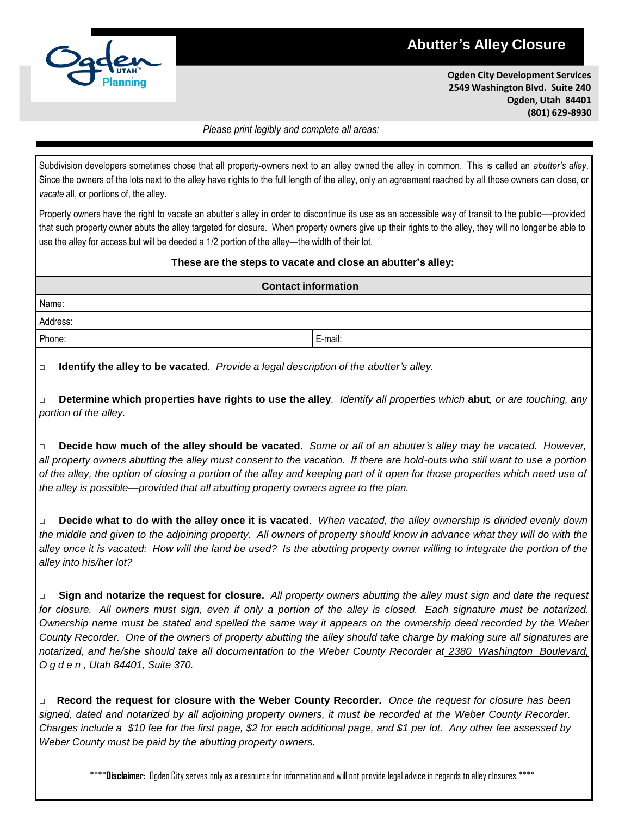## **Abutter's Alley Closure**



**Ogden City Development Services 2549 Washington Blvd. Suite 240 Ogden, Utah 84401 (801) 629-8930**

## *Please print legibly and complete all areas:*

Subdivision developers sometimes chose that all property-owners next to an alley owned the alley in common. This is called an *abutter's alley*. Since the owners of the lots next to the alley have rights to the full length of the alley, only an agreement reached by all those owners can close, or *vacate* all, or portions of, the alley.

Property owners have the right to vacate an abutter's alley in order to discontinue its use as an accessible way of transit to the public—-provided that such property owner abuts the alley targeted for closure. When property owners give up their rights to the alley, they will no longer be able to use the alley for access but will be deeded a 1/2 portion of the alley—the width of their lot.

## **These are the steps to vacate and close an abutter's alley:**

| <b>Contact information</b> |         |  |  |  |
|----------------------------|---------|--|--|--|
| Name:                      |         |  |  |  |
| Address:                   |         |  |  |  |
| Phone:                     | E-mail: |  |  |  |
|                            |         |  |  |  |

**□ Identify the alley to be vacated***. Provide a legal description of the abutter's alley.*

Determine which properties have rights to use the alley. Identify all properties which abut, or are touching, any *portion of the alley.*

Decide how much of the alley should be vacated. Some or all of an abutter's alley may be vacated. However, all property owners abutting the alley must consent to the vacation. If there are hold-outs who still want to use a portion of the alley, the option of closing a portion of the alley and keeping part of it open for those properties which need use of *the alley is possible—provided that all abutting property owners agree to the plan.*

Decide what to do with the alley once it is vacated. When vacated, the alley ownership is divided evenly down the middle and given to the adjoining property. All owners of property should know in advance what they will do with the alley once it is vacated: How will the land be used? Is the abutting property owner willing to integrate the portion of the *alley into his/her lot?*

 $\Box$  Sign and notarize the request for closure. All property owners abutting the alley must sign and date the request for closure. All owners must sign, even if only a portion of the alley is closed. Each signature must be notarized. Ownership name must be stated and spelled the same way it appears on the ownership deed recorded by the Weber County Recorder. One of the owners of property abutting the alley should take charge by making sure all signatures are *notarized, and he/she should take all documentation to the Weber County Recorder at 2380 Washington Boulevard, O g d e n , Utah 84401, Suite 370.*

□ **Record the request for closure with the Weber County Recorder.** *Once the request for closure has been*  signed, dated and notarized by all adjoining property owners, it must be recorded at the Weber County Recorder. Charges include a \$10 fee for the first page, \$2 for each additional page, and \$1 per lot. Any other fee assessed by *Weber County must be paid by the abutting property owners.*

\*\*\*\***Disclaimer:** Ogden Cityserves onlyas a resourcefor informationand willnot provide legaladvice in regards to alleyclosures.\*\*\*\*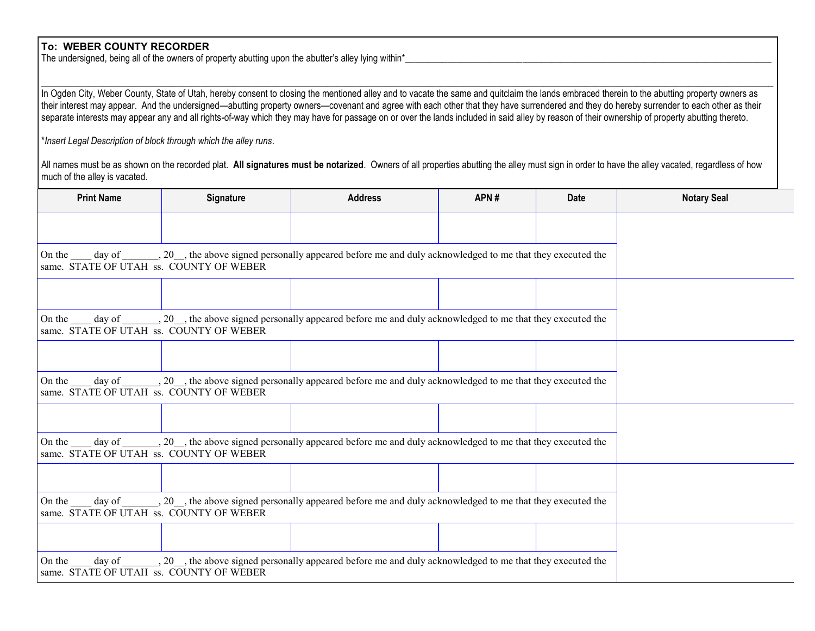## **To: WEBER COUNTY RECORDER**

The undersigned, being all of the owners of property abutting upon the abutter's alley lying within\*\_

In Ogden City, Weber County, State of Utah, hereby consent to closing the mentioned alley and to vacate the same and quitclaim the lands embraced therein to the abutting property owners as their interest may appear. And the undersigned—abutting property owners—covenant and agree with each other that they have surrendered and they do hereby surrender to each other as their separate interests may appear any and all rights-of-way which they may have for passage on or over the lands included in said alley by reason of their ownership of property abutting thereto.

 $\_$  , and the set of the set of the set of the set of the set of the set of the set of the set of the set of the set of the set of the set of the set of the set of the set of the set of the set of the set of the set of th

\**Insert Legal Description of block through which the alley runs*.

All names must be as shown on the recorded plat. All signatures must be notarized. Owners of all properties abutting the alley must sign in order to have the alley vacated, regardless of how much of the alley is vacated.

| <b>Print Name</b>                                                                                                                                                                      | Signature | <b>Address</b> | APN# | Date | <b>Notary Seal</b> |
|----------------------------------------------------------------------------------------------------------------------------------------------------------------------------------------|-----------|----------------|------|------|--------------------|
|                                                                                                                                                                                        |           |                |      |      |                    |
| On the day of _______, 20 ___, the above signed personally appeared before me and duly acknowledged to me that they executed the<br>same. STATE OF UTAH ss. COUNTY OF WEBER            |           |                |      |      |                    |
|                                                                                                                                                                                        |           |                |      |      |                    |
| $\alpha$ day of _______, 20 __, the above signed personally appeared before me and duly acknowledged to me that they executed the<br>On the<br>same. STATE OF UTAH ss. COUNTY OF WEBER |           |                |      |      |                    |
|                                                                                                                                                                                        |           |                |      |      |                    |
| On the day of _______, 20 ___, the above signed personally appeared before me and duly acknowledged to me that they executed the<br>same. STATE OF UTAH ss. COUNTY OF WEBER            |           |                |      |      |                    |
|                                                                                                                                                                                        |           |                |      |      |                    |
| On the day of 20, the above signed personally appeared before me and duly acknowledged to me that they executed the<br>same. STATE OF UTAH ss. COUNTY OF WEBER                         |           |                |      |      |                    |
|                                                                                                                                                                                        |           |                |      |      |                    |
| day of ________, 20 __, the above signed personally appeared before me and duly acknowledged to me that they executed the<br>On the<br>same. STATE OF UTAH ss. COUNTY OF WEBER         |           |                |      |      |                    |
|                                                                                                                                                                                        |           |                |      |      |                    |
| On the day of 20, the above signed personally appeared before me and duly acknowledged to me that they executed the<br>same. STATE OF UTAH ss. COUNTY OF WEBER                         |           |                |      |      |                    |